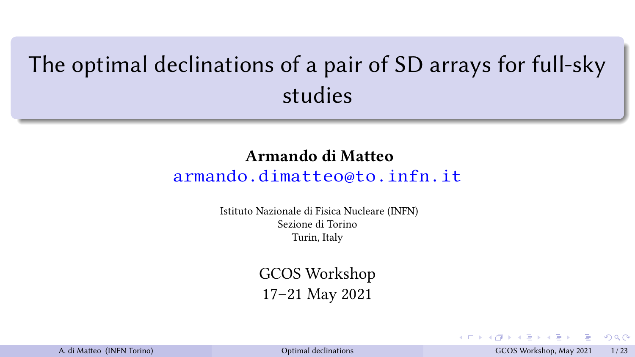## <span id="page-0-0"></span>The optimal declinations of a pair of SD arrays for full-sky studies

## Armando di Matteo

## [armando.dimatteo@to.infn.it](mailto:armando.dimatteo@to.infn.it)

Istituto Nazionale di Fisica Nucleare (INFN) Sezione di Torino Turin, Italy

> GCOS Workshop 17–21 May 2021

|  | A. di Matteo (INFN Torino) |  |
|--|----------------------------|--|
|--|----------------------------|--|

A. [Optimal declinations](#page-22-0) and A. di Maeo (INFN Torino) Optimal declinations of the Maeo (INFN Torino) Optimal declinations and A. Di Maeo (INFN Torino) Optimal declinations of the Maeo (INFN Torino) Optimal declinations of t

 $2Q$ 

 $\left\{ \begin{array}{ccc} 1 & 0 & 0 \\ 0 & 1 & 0 \end{array} \right.$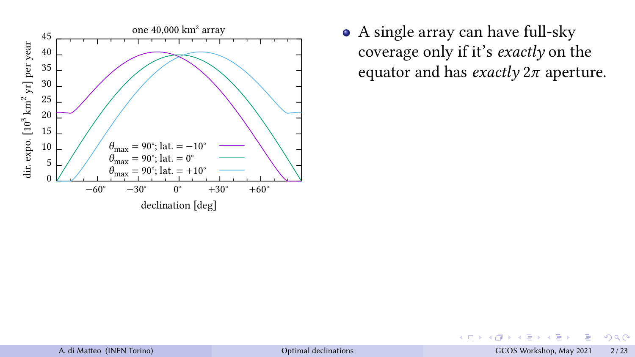

A single array can have full-sky coverage only if it's exactly on the equator and has *exactly*  $2\pi$  aperture.

4 0 8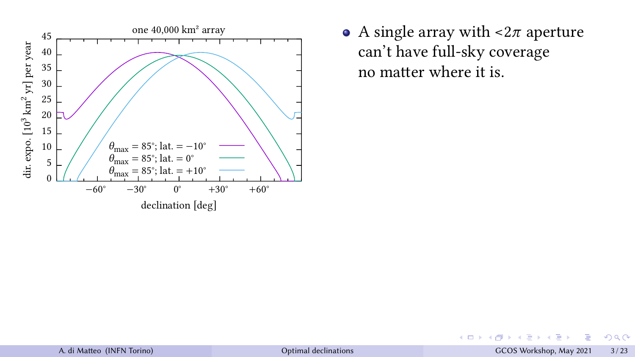

• A single array with  $\langle 2\pi \rangle$  aperture can't have full-sky coverage no matter where it is.

 $+$   $\Box$   $+$   $+$   $\Box$ 

 $\prec$ ∍

目 A. di Matteo (INFN Torino) and Declinations CCOS Workshop, May 2021 3/23

E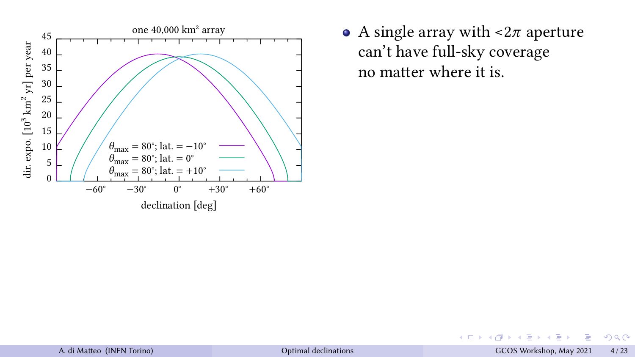

• A single array with  $\langle 2\pi \rangle$  aperture can't have full-sky coverage no matter where it is.

 $+$   $\Box$   $+$   $+$   $\Box$ 

 $\prec$ ∍

目 A. di Matteo (INFN Torino) and COS Workshop, May 2021 4/23

E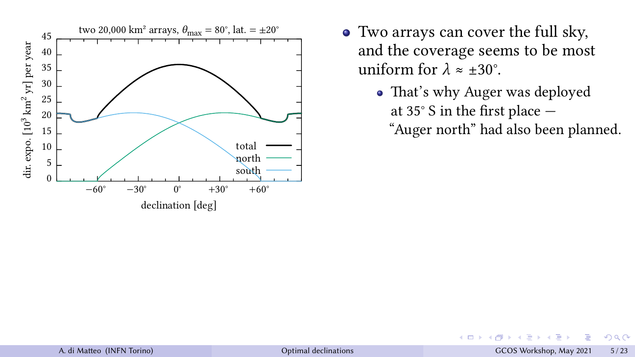

 $\leftarrow$ 

• That's why Auger was deployed at 35 $\degree$  S in the first place  $-$ 

"Auger north" had also been planned.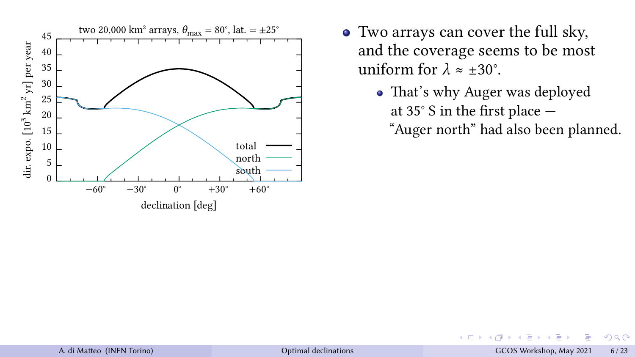

 $\leftarrow$ 

• That's why Auger was deployed at 35 $\degree$  S in the first place  $-$ 

"Auger north" had also been planned.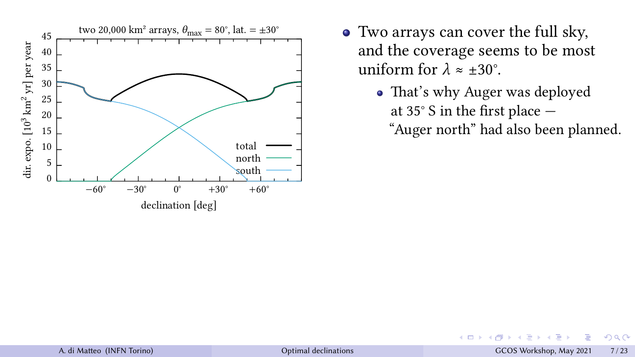

 $\leftarrow$ 

• That's why Auger was deployed at 35 $\degree$  S in the first place  $-$ 

"Auger north" had also been planned.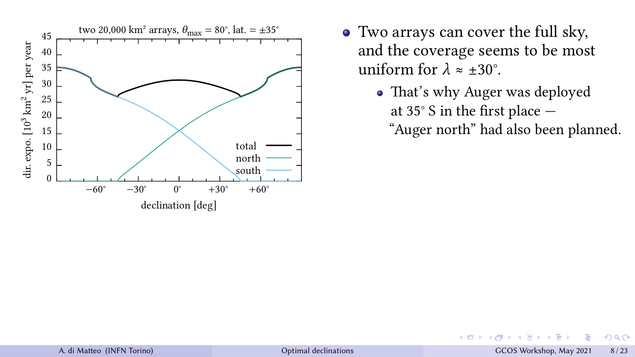

 $\leftarrow$ 

• That's why Auger was deployed at 35 $\degree$  S in the first place  $-$ 

"Auger north" had also been planned.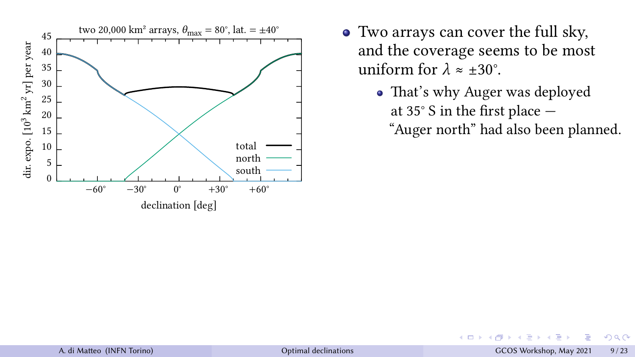

 $\leftarrow$ 

• That's why Auger was deployed at 35 $\degree$  S in the first place  $-$ 

"Auger north" had also been planned.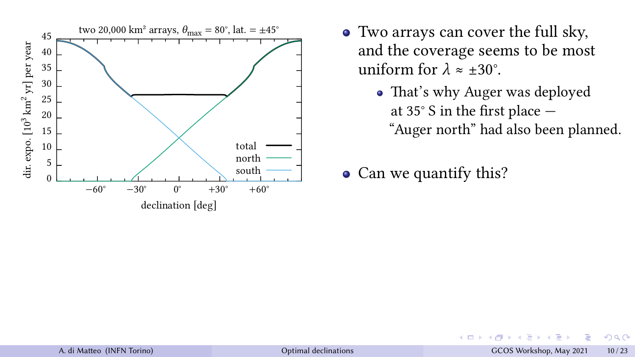

 $\leftarrow$   $\Box$ 

• That's why Auger was deployed at 35 $\degree$  S in the first place  $-$ "Auger north" had also been planned.

• Can we quantify this?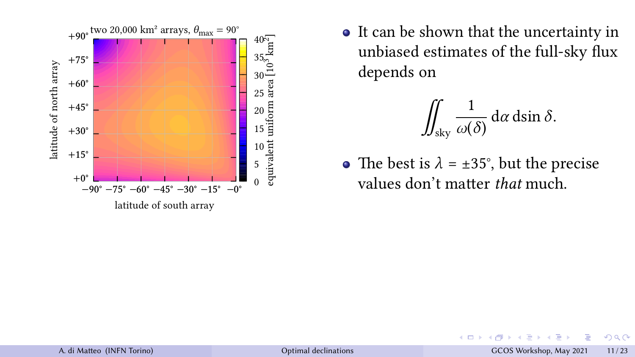

$$
\iint_{\text{sky}} \frac{1}{\omega(\delta)} \, \mathrm{d}\alpha \, \mathrm{d}\sin \delta.
$$

• The best is  $\lambda = \pm 35^{\circ}$ , but the precise values don't matter that much.

**←ロト ← 伊** 

E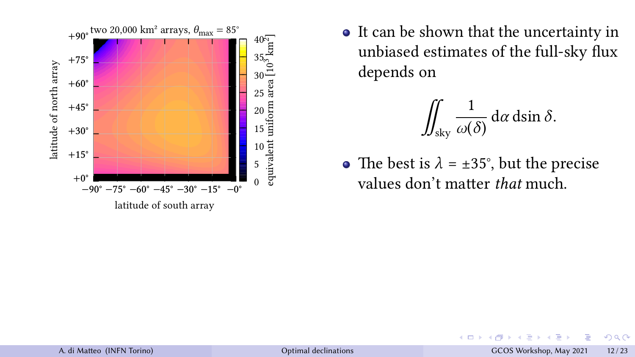

$$
\iint_{\text{sky}} \frac{1}{\omega(\delta)} \, \mathrm{d}\alpha \, \mathrm{d}\sin \delta.
$$

• The best is  $\lambda = \pm 35^{\circ}$ , but the precise values don't matter that much.

**←ロト ← 伊** 

 $\prec$ 

E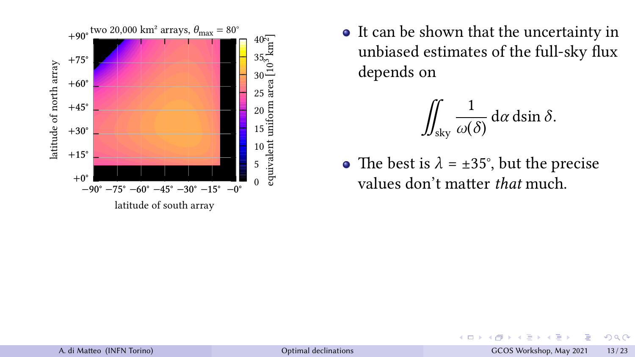

$$
\iint_{\text{sky}} \frac{1}{\omega(\delta)} \, \mathrm{d}\alpha \, \mathrm{d}\sin \delta.
$$

• The best is  $\lambda = \pm 35^{\circ}$ , but the precise values don't matter that much.

 $+$   $\Box$   $\rightarrow$   $+$   $\Box$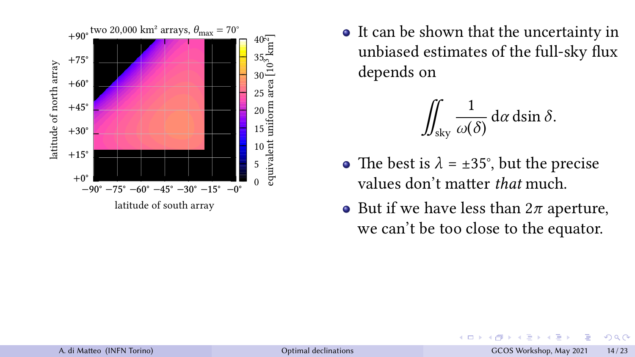

$$
\iint_{\text{sky}} \frac{1}{\omega(\delta)} \, \mathrm{d}\alpha \, \mathrm{d}\sin \delta.
$$

- The best is  $\lambda = \pm 35^{\circ}$ , but the precise values don't matter that much.
- But if we have less than  $2\pi$  aperture, we can't be too close to the equator.

 $+$   $\Box$   $\rightarrow$   $+$   $\Box$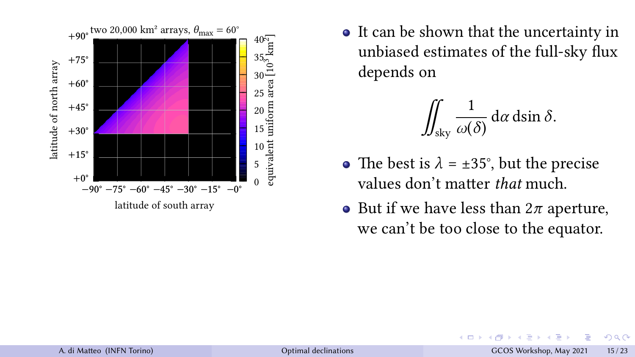

$$
\iint_{\text{sky}} \frac{1}{\omega(\delta)} \, \mathrm{d}\alpha \, \mathrm{d}\sin \delta.
$$

- The best is  $\lambda = \pm 35^{\circ}$ , but the precise values don't matter that much.
- But if we have less than  $2\pi$  aperture, we can't be too close to the equator.

**←ロト ← 伊**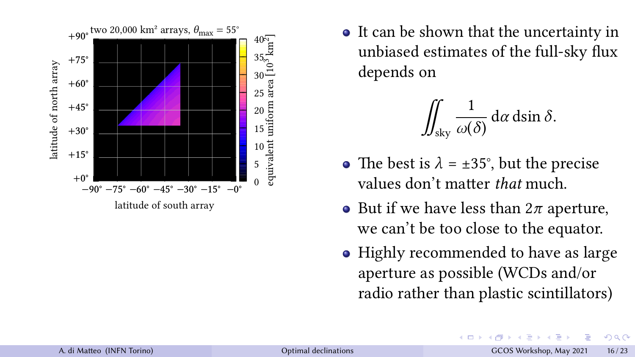

$$
\iint_{\text{sky}} \frac{1}{\omega(\delta)} \, \mathrm{d}\alpha \, \mathrm{d}\sin \delta.
$$

- The best is  $\lambda = \pm 35^{\circ}$ , but the precise values don't matter *that* much.
- But if we have less than  $2\pi$  aperture, we can't be too close to the equator.
- Highly recommended to have as large aperture as possible (WCDs and/or radio rather than plastic scintillators)

4 0 8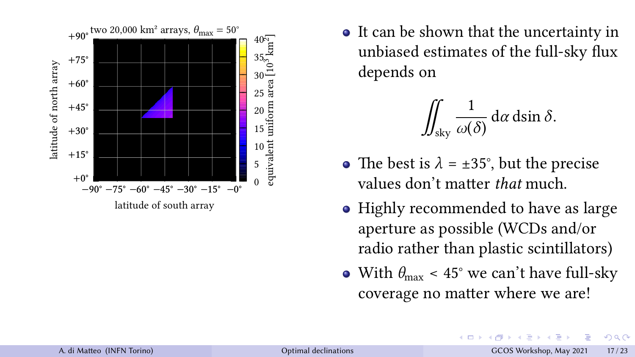

$$
\iint_{\text{sky}} \frac{1}{\omega(\delta)} \, \mathrm{d}\alpha \, \mathrm{d}\sin \delta.
$$

- The best is  $\lambda = \pm 35^{\circ}$ , but the precise values don't matter *that* much.
- Highly recommended to have as large aperture as possible (WCDs and/or radio rather than plastic scintillators)
- With  $\theta_{\text{max}}$  < 45° we can't have full-sky coverage no matter where we are!

**4 ロ ト ィ** *同*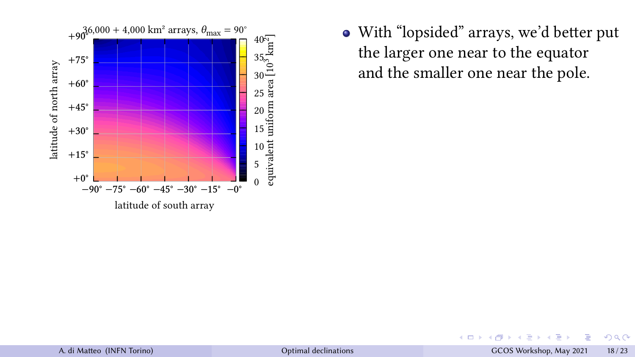

• With "lopsided" arrays, we'd better put the larger one near to the equator and the smaller one near the pole.

 $+$   $\Box$   $\rightarrow$   $+$   $\Box$ 

A. di Maeo (INFN Torino) [Optimal declinations](#page-0-0) GCOS Workshop, May 2021 18 / 23

E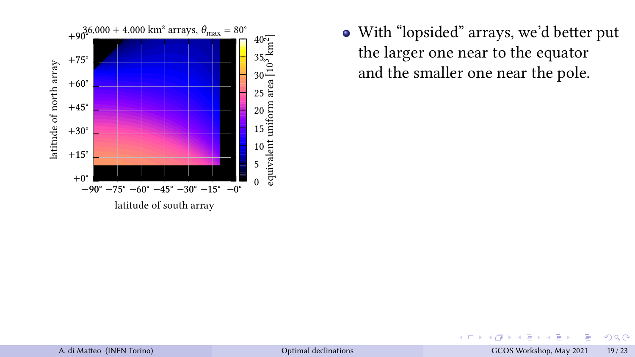

• With "lopsided" arrays, we'd better put the larger one near to the equator and the smaller one near the pole.

4000

A. di Maeo (INFN Torino) [Optimal declinations](#page-0-0) GCOS Workshop, May 2021 19 / 23

E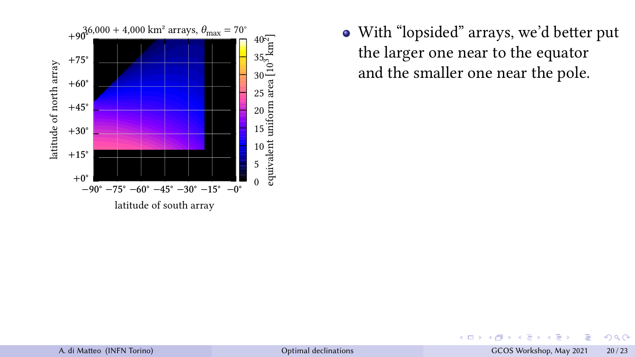

• With "lopsided" arrays, we'd better put the larger one near to the equator and the smaller one near the pole.

4 0 8

A. di Maeo (INFN Torino) [Optimal declinations](#page-0-0) GCOS Workshop, May 2021 20 / 23

E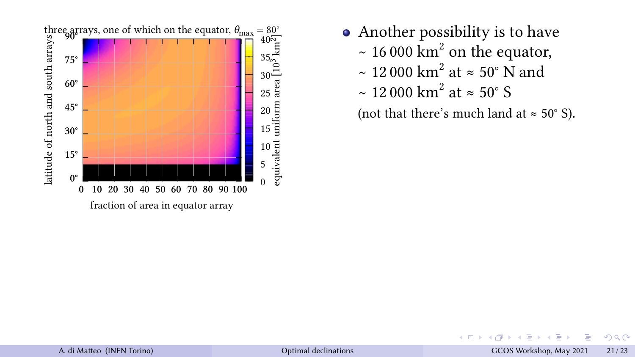

- Another possibility is to have
	- ~ 16 000  $\text{km}^2$  on the equator,
	- ~ 12 000 km<sup>2</sup> at ≈ 50° N and
	- ~ 12 000 km<sup>2</sup> at ≈ 50° S

(not that there's much land at  $\approx 50^{\circ}$  S).

 $\leftarrow$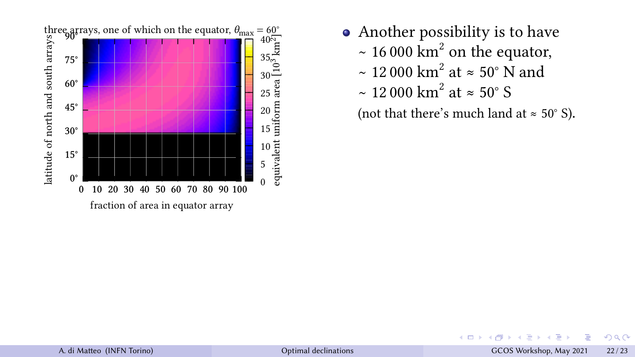

- Another possibility is to have
	- ~ 16 000  $\text{km}^2$  on the equator,
	- ~ 12 000 km<sup>2</sup> at ≈ 50° N and
	- ~ 12 000 km<sup>2</sup> at ≈ 50° S

(not that there's much land at  $\approx 50^{\circ}$  S).